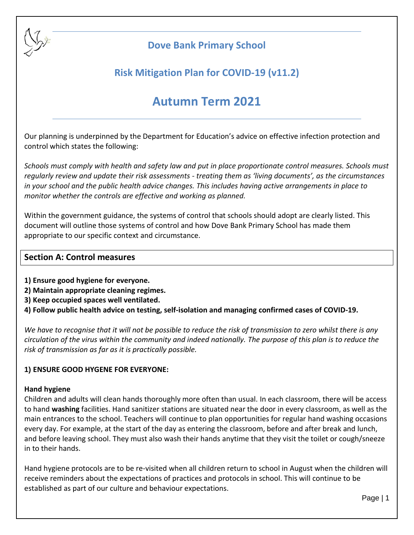

# **Dove Bank Primary School**

# **Risk Mitigation Plan for COVID-19 (v11.2)**

# **Autumn Term 2021**

Our planning is underpinned by the Department for Education's advice on effective infection protection and control which states the following:

*Schools must comply with health and safety law and put in place proportionate control measures. Schools must regularly review and update their risk assessments - treating them as 'living documents', as the circumstances in your school and the public health advice changes. This includes having active arrangements in place to monitor whether the controls are effective and working as planned.*

Within the government guidance, the systems of control that schools should adopt are clearly listed. This document will outline those systems of control and how Dove Bank Primary School has made them appropriate to our specific context and circumstance.

# **Section A: Control measures**

- **1) Ensure good hygiene for everyone.**
- **2) Maintain appropriate cleaning regimes.**
- **3) Keep occupied spaces well ventilated.**
- **4) Follow public health advice on testing, self-isolation and managing confirmed cases of COVID-19.**

*We have to recognise that it will not be possible to reduce the risk of transmission to zero whilst there is any circulation of the virus within the community and indeed nationally. The purpose of this plan is to reduce the risk of transmission as far as it is practically possible.*

# **1) ENSURE GOOD HYGENE FOR EVERYONE:**

#### **Hand hygiene**

Children and adults will clean hands thoroughly more often than usual. In each classroom, there will be access to hand **washing** facilities. Hand sanitizer stations are situated near the door in every classroom, as well as the main entrances to the school. Teachers will continue to plan opportunities for regular hand washing occasions every day. For example, at the start of the day as entering the classroom, before and after break and lunch, and before leaving school. They must also wash their hands anytime that they visit the toilet or cough/sneeze in to their hands.

Hand hygiene protocols are to be re-visited when all children return to school in August when the children will receive reminders about the expectations of practices and protocols in school. This will continue to be established as part of our culture and behaviour expectations.

Page | 1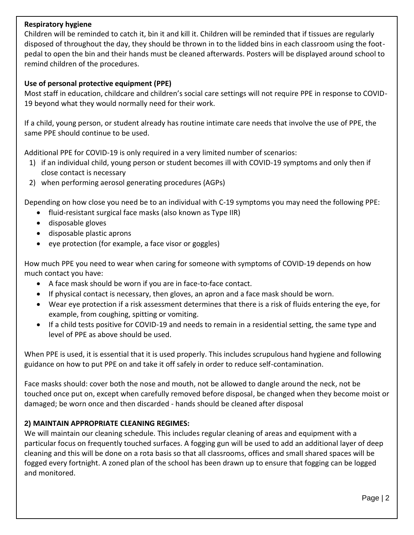### **Respiratory hygiene**

Children will be reminded to catch it, bin it and kill it. Children will be reminded that if tissues are regularly disposed of throughout the day, they should be thrown in to the lidded bins in each classroom using the footpedal to open the bin and their hands must be cleaned afterwards. Posters will be displayed around school to remind children of the procedures.

### **Use of personal protective equipment (PPE)**

Most staff in education, childcare and children's social care settings will not require PPE in response to COVID-19 beyond what they would normally need for their work.

If a child, young person, or student already has routine intimate care needs that involve the use of PPE, the same PPE should continue to be used.

Additional PPE for COVID-19 is only required in a very limited number of scenarios:

- 1) if an individual child, young person or student becomes ill with COVID-19 symptoms and only then if close contact is necessary
- 2) when performing aerosol generating procedures (AGPs)

Depending on how close you need be to an individual with C-19 symptoms you may need the following PPE:

- fluid-resistant surgical face masks (also known as Type IIR)
- disposable gloves
- disposable plastic aprons
- $\bullet$  eye protection (for example, a face visor or goggles)

How much PPE you need to wear when caring for someone with symptoms of COVID-19 depends on how much contact you have:

- A face mask should be worn if you are in face-to-face contact.
- If physical contact is necessary, then gloves, an apron and a face mask should be worn.
- Wear eye protection if a risk assessment determines that there is a risk of fluids entering the eye, for example, from coughing, spitting or vomiting.
- If a child tests positive for COVID-19 and needs to remain in a residential setting, the same type and level of PPE as above should be used.

When PPE is used, it is essential that it is used properly. This includes scrupulous hand hygiene and following guidance on how to put PPE on and take it off safely in order to reduce self-contamination.

Face masks should: cover both the nose and mouth, not be allowed to dangle around the neck, not be touched once put on, except when carefully removed before disposal, be changed when they become moist or damaged; be worn once and then discarded - hands should be cleaned after disposal

# **2) MAINTAIN APPROPRIATE CLEANING REGIMES:**

We will maintain our cleaning schedule. This includes regular cleaning of areas and equipment with a particular focus on frequently touched surfaces. A fogging gun will be used to add an additional layer of deep cleaning and this will be done on a rota basis so that all classrooms, offices and small shared spaces will be fogged every fortnight. A zoned plan of the school has been drawn up to ensure that fogging can be logged and monitored.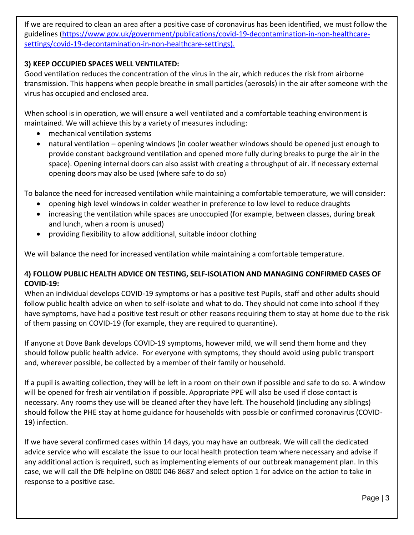If we are required to clean an area after a positive case of coronavirus has been identified, we must follow the guidelines [\(https://www.gov.uk/government/publications/covid-19-decontamination-in-non-healthcare](https://www.gov.uk/government/publications/covid-19-decontamination-in-non-healthcare-settings/covid-19-decontamination-in-non-healthcare-settings)[settings/covid-19-decontamination-in-non-healthcare-settings\)](https://www.gov.uk/government/publications/covid-19-decontamination-in-non-healthcare-settings/covid-19-decontamination-in-non-healthcare-settings).

# **3) KEEP OCCUPIED SPACES WELL VENTILATED:**

Good ventilation reduces the concentration of the virus in the air, which reduces the risk from airborne transmission. This happens when people breathe in small particles (aerosols) in the air after someone with the virus has occupied and enclosed area.

When school is in operation, we will ensure a well ventilated and a comfortable teaching environment is maintained. We will achieve this by a variety of measures including:

- mechanical ventilation systems
- natural ventilation opening windows (in cooler weather windows should be opened just enough to provide constant background ventilation and opened more fully during breaks to purge the air in the space). Opening internal doors can also assist with creating a throughput of air. if necessary external opening doors may also be used (where safe to do so)

To balance the need for increased ventilation while maintaining a comfortable temperature, we will consider:

- opening high level windows in colder weather in preference to low level to reduce draughts
- increasing the ventilation while spaces are unoccupied (for example, between classes, during break and lunch, when a room is unused)
- providing flexibility to allow additional, suitable indoor clothing

We will balance the need for increased ventilation while maintaining a comfortable temperature.

# **4) FOLLOW PUBLIC HEALTH ADVICE ON TESTING, SELF-ISOLATION AND MANAGING CONFIRMED CASES OF COVID-19:**

When an individual develops COVID-19 symptoms or has a positive test Pupils, staff and other adults should follow public health advice on when to self-isolate and what to do. They should not come into school if they have symptoms, have had a positive test result or other reasons requiring them to stay at home due to the risk of them passing on COVID-19 (for example, they are required to quarantine).

If anyone at Dove Bank develops COVID-19 symptoms, however mild, we will send them home and they should follow public health advice. For everyone with symptoms, they should avoid using public transport and, wherever possible, be collected by a member of their family or household.

If a pupil is awaiting collection, they will be left in a room on their own if possible and safe to do so. A window will be opened for fresh air ventilation if possible. Appropriate PPE will also be used if close contact is necessary. Any rooms they use will be cleaned after they have left. The household (including any siblings) should follow the PHE stay at home guidance for households with possible or confirmed coronavirus (COVID-19) infection.

If we have several confirmed cases within 14 days, you may have an outbreak. We will call the dedicated advice service who will escalate the issue to our local health protection team where necessary and advise if any additional action is required, such as implementing elements of our outbreak management plan. In this case, we will call the DfE helpline on 0800 046 8687 and select option 1 for advice on the action to take in response to a positive case.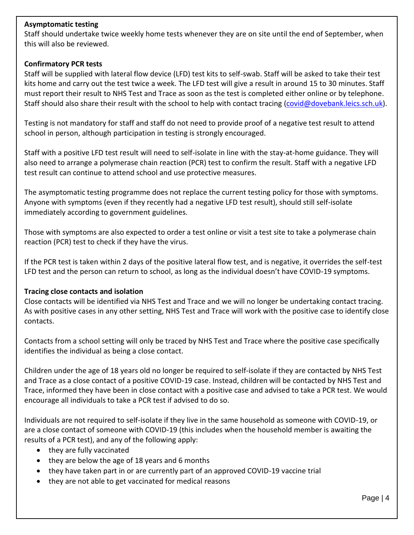#### **Asymptomatic testing**

Staff should undertake twice weekly home tests whenever they are on site until the end of September, when this will also be reviewed.

#### **Confirmatory PCR tests**

Staff will be supplied with lateral flow device (LFD) test kits to self-swab. Staff will be asked to take their test kits home and carry out the test twice a week. The LFD test will give a result in around 15 to 30 minutes. Staff must report their result to NHS Test and Trace as soon as the test is completed either online or by telephone. Staff should also share their result with the school to help with contact tracing [\(covid@dovebank.leics.sch.uk\)](mailto:covid@dovebank.leics.sch.uk).

Testing is not mandatory for staff and staff do not need to provide proof of a negative test result to attend school in person, although participation in testing is strongly encouraged.

Staff with a positive LFD test result will need to self-isolate in line with the stay-at-home guidance. They will also need to arrange a polymerase chain reaction (PCR) test to confirm the result. Staff with a negative LFD test result can continue to attend school and use protective measures.

The asymptomatic testing programme does not replace the current testing policy for those with symptoms. Anyone with symptoms (even if they recently had a negative LFD test result), should still self-isolate immediately according to government guidelines.

Those with symptoms are also expected to order a test online or visit a test site to take a polymerase chain reaction (PCR) test to check if they have the virus.

If the PCR test is taken within 2 days of the positive lateral flow test, and is negative, it overrides the self-test LFD test and the person can return to school, as long as the individual doesn't have COVID-19 symptoms.

# **Tracing close contacts and isolation**

Close contacts will be identified via NHS Test and Trace and we will no longer be undertaking contact tracing. As with positive cases in any other setting, NHS Test and Trace will work with the positive case to identify close contacts.

Contacts from a school setting will only be traced by NHS Test and Trace where the positive case specifically identifies the individual as being a close contact.

Children under the age of 18 years old no longer be required to self-isolate if they are contacted by NHS Test and Trace as a close contact of a positive COVID-19 case. Instead, children will be contacted by NHS Test and Trace, informed they have been in close contact with a positive case and advised to take a PCR test. We would encourage all individuals to take a PCR test if advised to do so.

Individuals are not required to self-isolate if they live in the same household as someone with COVID-19, or are a close contact of someone with COVID-19 (this includes when the household member is awaiting the results of a PCR test), and any of the following apply:

- they are fully vaccinated
- they are below the age of 18 years and 6 months
- they have taken part in or are currently part of an approved COVID-19 vaccine trial
- they are not able to get vaccinated for medical reasons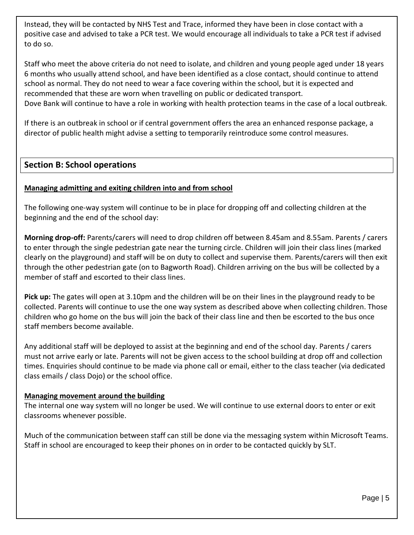Instead, they will be contacted by NHS Test and Trace, informed they have been in close contact with a positive case and advised to take a PCR test. We would encourage all individuals to take a PCR test if advised to do so.

Staff who meet the above criteria do not need to isolate, and children and young people aged under 18 years 6 months who usually attend school, and have been identified as a close contact, should continue to attend school as normal. They do not need to wear a face covering within the school, but it is expected and recommended that these are worn when travelling on public or dedicated transport. Dove Bank will continue to have a role in working with health protection teams in the case of a local outbreak.

If there is an outbreak in school or if central government offers the area an enhanced response package, a director of public health might advise a setting to temporarily reintroduce some control measures.

# **Section B: School operations**

# **Managing admitting and exiting children into and from school**

The following one-way system will continue to be in place for dropping off and collecting children at the beginning and the end of the school day:

**Morning drop-off:** Parents/carers will need to drop children off between 8.45am and 8.55am. Parents / carers to enter through the single pedestrian gate near the turning circle. Children will join their class lines (marked clearly on the playground) and staff will be on duty to collect and supervise them. Parents/carers will then exit through the other pedestrian gate (on to Bagworth Road). Children arriving on the bus will be collected by a member of staff and escorted to their class lines.

**Pick up:** The gates will open at 3.10pm and the children will be on their lines in the playground ready to be collected. Parents will continue to use the one way system as described above when collecting children. Those children who go home on the bus will join the back of their class line and then be escorted to the bus once staff members become available.

Any additional staff will be deployed to assist at the beginning and end of the school day. Parents / carers must not arrive early or late. Parents will not be given access to the school building at drop off and collection times. Enquiries should continue to be made via phone call or email, either to the class teacher (via dedicated class emails / class Dojo) or the school office.

# **Managing movement around the building**

The internal one way system will no longer be used. We will continue to use external doors to enter or exit classrooms whenever possible.

Much of the communication between staff can still be done via the messaging system within Microsoft Teams. Staff in school are encouraged to keep their phones on in order to be contacted quickly by SLT.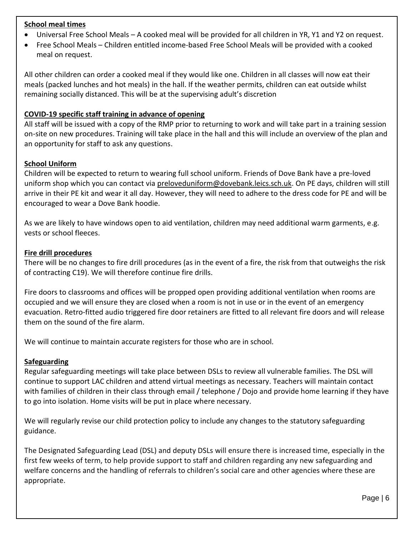#### **School meal times**

- Universal Free School Meals A cooked meal will be provided for all children in YR, Y1 and Y2 on request.
- Free School Meals Children entitled income-based Free School Meals will be provided with a cooked meal on request.

All other children can order a cooked meal if they would like one. Children in all classes will now eat their meals (packed lunches and hot meals) in the hall. If the weather permits, children can eat outside whilst remaining socially distanced. This will be at the supervising adult's discretion

#### **COVID-19 specific staff training in advance of opening**

All staff will be issued with a copy of the RMP prior to returning to work and will take part in a training session on-site on new procedures. Training will take place in the hall and this will include an overview of the plan and an opportunity for staff to ask any questions.

#### **School Uniform**

Children will be expected to return to wearing full school uniform. Friends of Dove Bank have a pre-loved uniform shop which you can contact via [preloveduniform@dovebank.leics.sch.uk.](mailto:preloveduniform@dovebank.leics.sch.uk) On PE days, children will still arrive in their PE kit and wear it all day. However, they will need to adhere to the dress code for PE and will be encouraged to wear a Dove Bank hoodie.

As we are likely to have windows open to aid ventilation, children may need additional warm garments, e.g. vests or school fleeces.

#### **Fire drill procedures**

There will be no changes to fire drill procedures (as in the event of a fire, the risk from that outweighs the risk of contracting C19). We will therefore continue fire drills.

Fire doors to classrooms and offices will be propped open providing additional ventilation when rooms are occupied and we will ensure they are closed when a room is not in use or in the event of an emergency evacuation. Retro-fitted audio triggered fire door retainers are fitted to all relevant fire doors and will release them on the sound of the fire alarm.

We will continue to maintain accurate registers for those who are in school.

#### **Safeguarding**

Regular safeguarding meetings will take place between DSLs to review all vulnerable families. The DSL will continue to support LAC children and attend virtual meetings as necessary. Teachers will maintain contact with families of children in their class through email / telephone / Dojo and provide home learning if they have to go into isolation. Home visits will be put in place where necessary.

We will regularly revise our child protection policy to include any changes to the statutory safeguarding guidance.

The Designated Safeguarding Lead (DSL) and deputy DSLs will ensure there is increased time, especially in the first few weeks of term, to help provide support to staff and children regarding any new safeguarding and welfare concerns and the handling of referrals to children's social care and other agencies where these are appropriate.